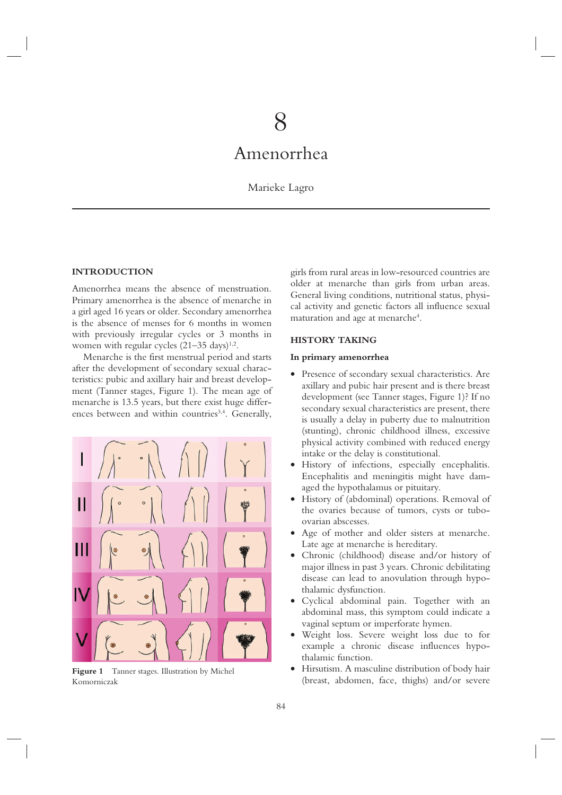# 8

# Amenorrhea

# Marieke Lagro

# **INTRODUCTION**

Amenorrhea means the absence of menstruation. Primary amenorrhea is the absence of menarche in a girl aged 16 years or older. Secondary amenorrhea is the absence of menses for 6 months in women with previously irregular cycles or 3 months in women with regular cycles  $(21-35 \text{ days})^{1,2}$ .

Menarche is the first menstrual period and starts after the development of secondary sexual characteristics: pubic and axillary hair and breast development (Tanner stages, Figure 1). The mean age of menarche is 13.5 years, but there exist huge differences between and within countries<sup>3,4</sup>. Generally,



**Figure 1** Tanner stages. Illustration by Michel Komorniczak

girls from rural areas in low-resourced countries are older at menarche than girls from urban areas. General living conditions, nutritional status, physical activity and genetic factors all influence sexual maturation and age at menarche<sup>4</sup>.

# **HISTORY TAKING**

### **In primary amenorrhea**

- Presence of secondary sexual characteristics. Are axillary and pubic hair present and is there breast development (see Tanner stages, Figure 1)? If no secondary sexual characteristics are present, there is usually a delay in puberty due to malnutrition (stunting), chronic childhood illness, excessive physical activity combined with reduced energy intake or the delay is constitutional.
- History of infections, especially encephalitis. Encephalitis and meningitis might have damaged the hypothalamus or pituitary.
- History of (abdominal) operations. Removal of the ovaries because of tumors, cysts or tuboovarian abscesses.
- Age of mother and older sisters at menarche. Late age at menarche is hereditary.
- Chronic (childhood) disease and/or history of major illness in past 3 years. Chronic debilitating disease can lead to anovulation through hypothalamic dysfunction.
- Cyclical abdominal pain. Together with an abdominal mass, this symptom could indicate a vaginal septum or imperforate hymen.
- Weight loss. Severe weight loss due to for example a chronic disease influences hypothalamic function.
- Hirsutism. A masculine distribution of body hair (breast, abdomen, face, thighs) and/or severe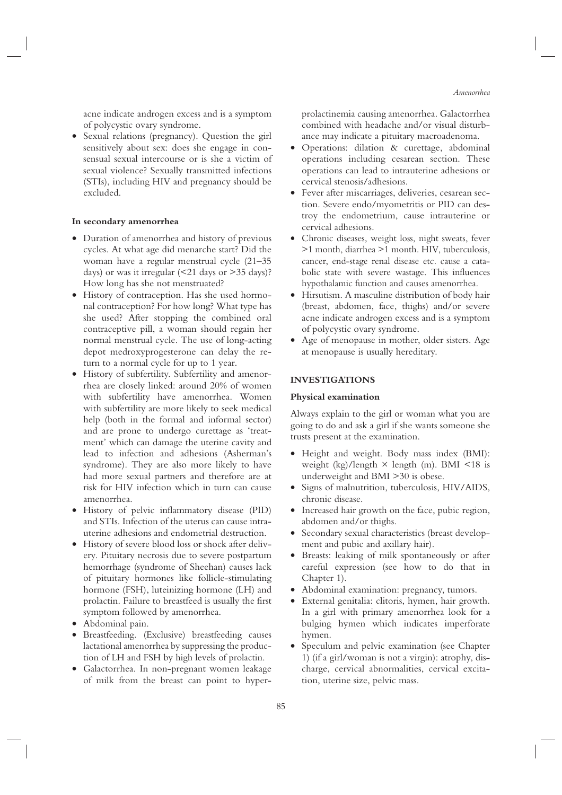acne indicate androgen excess and is a symptom of polycystic ovary syndrome.

• Sexual relations (pregnancy). Question the girl sensitively about sex: does she engage in consensual sexual intercourse or is she a victim of sexual violence? Sexually transmitted infections (STIs), including HIV and pregnancy should be excluded.

## **In secondary amenorrhea**

- Duration of amenorrhea and history of previous cycles. At what age did menarche start? Did the woman have a regular menstrual cycle (21–35 days) or was it irregular  $(\leq 21$  days or  $> 35$  days)? How long has she not menstruated?
- History of contraception. Has she used hormonal contraception? For how long? What type has she used? After stopping the combined oral contraceptive pill, a woman should regain her normal menstrual cycle. The use of long-acting depot medroxyprogesterone can delay the return to a normal cycle for up to 1 year.
- History of subfertility. Subfertility and amenorrhea are closely linked: around 20% of women with subfertility have amenorrhea. Women with subfertility are more likely to seek medical help (both in the formal and informal sector) and are prone to undergo curettage as 'treatment' which can damage the uterine cavity and lead to infection and adhesions (Asherman's syndrome). They are also more likely to have had more sexual partners and therefore are at risk for HIV infection which in turn can cause amenorrhea.
- History of pelvic inflammatory disease (PID) and STIs. Infection of the uterus can cause intrauterine adhesions and endometrial destruction.
- History of severe blood loss or shock after delivery. Pituitary necrosis due to severe postpartum hemorrhage (syndrome of Sheehan) causes lack of pituitary hormones like follicle-stimulating hormone (FSH), luteinizing hormone (LH) and prolactin. Failure to breastfeed is usually the first symptom followed by amenorrhea.
- Abdominal pain.
- Breastfeeding. (Exclusive) breastfeeding causes lactational amenorrhea by suppressing the production of LH and FSH by high levels of prolactin.
- Galactorrhea. In non-pregnant women leakage of milk from the breast can point to hyper-

prolactinemia causing amenorrhea. Galactorrhea combined with headache and/or visual disturbance may indicate a pituitary macroadenoma.

- Operations: dilation & curettage, abdominal operations including cesarean section. These operations can lead to intrauterine adhesions or cervical stenosis/adhesions.
- Fever after miscarriages, deliveries, cesarean section. Severe endo/myometritis or PID can destroy the endometrium, cause intrauterine or cervical adhesions.
- Chronic diseases, weight loss, night sweats, fever >1 month, diarrhea >1 month. HIV, tuberculosis, cancer, end-stage renal disease etc. cause a catabolic state with severe wastage. This influences hypothalamic function and causes amenorrhea.
- Hirsutism. A masculine distribution of body hair (breast, abdomen, face, thighs) and/or severe acne indicate androgen excess and is a symptom of polycystic ovary syndrome.
- Age of menopause in mother, older sisters. Age at menopause is usually hereditary.

# **INVESTIGATIONS**

# **Physical examination**

Always explain to the girl or woman what you are going to do and ask a girl if she wants someone she trusts present at the examination.

- Height and weight. Body mass index (BMI): weight (kg)/length  $\times$  length (m). BMI <18 is underweight and BMI >30 is obese.
- Signs of malnutrition, tuberculosis, HIV/AIDS, chronic disease.
- Increased hair growth on the face, pubic region, abdomen and/or thighs.
- Secondary sexual characteristics (breast development and pubic and axillary hair).
- Breasts: leaking of milk spontaneously or after careful expression (see how to do that in Chapter 1).
- Abdominal examination: pregnancy, tumors.
- External genitalia: clitoris, hymen, hair growth. In a girl with primary amenorrhea look for a bulging hymen which indicates imperforate hymen.
- Speculum and pelvic examination (see Chapter 1) (if a girl/woman is not a virgin): atrophy, discharge, cervical abnormalities, cervical excitation, uterine size, pelvic mass.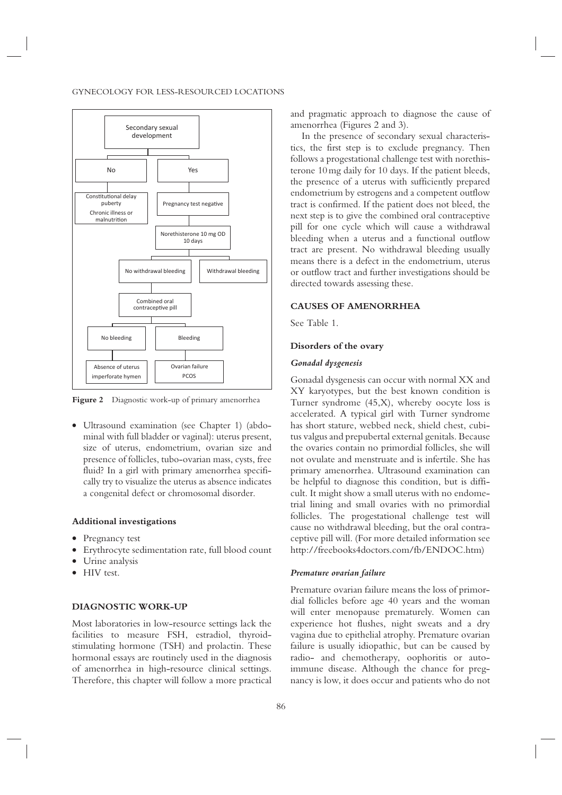#### GYNECOLOGY FOR LESS-RESOURCED LOCATIONS



**Figure 2** Diagnostic work-up of primary amenorrhea

• Ultrasound examination (see Chapter 1) (abdominal with full bladder or vaginal): uterus present, size of uterus, endometrium, ovarian size and presence of follicles, tubo-ovarian mass, cysts, free fluid? In a girl with primary amenorrhea specifically try to visualize the uterus as absence indicates a congenital defect or chromosomal disorder.

# **Additional investigations**

- Pregnancy test
- Erythrocyte sedimentation rate, full blood count
- Urine analysis
- HIV test.

# **DIAGNOSTIC WORK-UP**

Most laboratories in low-resource settings lack the facilities to measure FSH, estradiol, thyroidstimulating hormone (TSH) and prolactin. These hormonal essays are routinely used in the diagnosis of amenorrhea in high-resource clinical settings. Therefore, this chapter will follow a more practical

and pragmatic approach to diagnose the cause of amenorrhea (Figures 2 and 3).

In the presence of secondary sexual characteristics, the first step is to exclude pregnancy. Then follows a progestational challenge test with norethisterone 10 mg daily for 10 days. If the patient bleeds, the presence of a uterus with sufficiently prepared endometrium by estrogens and a competent outflow tract is confirmed. If the patient does not bleed, the next step is to give the combined oral contraceptive pill for one cycle which will cause a withdrawal bleeding when a uterus and a functional outflow tract are present. No withdrawal bleeding usually means there is a defect in the endometrium, uterus or outflow tract and further investigations should be directed towards assessing these.

# **CAUSES OF AMENORRHEA**

See Table 1.

# **Disorders of the ovary**

# *Gonadal dysgenesis*

Gonadal dysgenesis can occur with normal XX and XY karyotypes, but the best known condition is Turner syndrome (45,X), whereby oocyte loss is accelerated. A typical girl with Turner syndrome has short stature, webbed neck, shield chest, cubitus valgus and prepubertal external genitals. Because the ovaries contain no primordial follicles, she will not ovulate and menstruate and is infertile. She has primary amenorrhea. Ultrasound examination can be helpful to diagnose this condition, but is difficult. It might show a small uterus with no endometrial lining and small ovaries with no primordial follicles. The progestational challenge test will cause no withdrawal bleeding, but the oral contraceptive pill will. (For more detailed information see http://freebooks4doctors.com/fb/ENDOC.htm)

#### *Premature ovarian failure*

Premature ovarian failure means the loss of primordial follicles before age 40 years and the woman will enter menopause prematurely. Women can experience hot flushes, night sweats and a dry vagina due to epithelial atrophy. Premature ovarian failure is usually idiopathic, but can be caused by radio- and chemotherapy, oophoritis or autoimmune disease. Although the chance for pregnancy is low, it does occur and patients who do not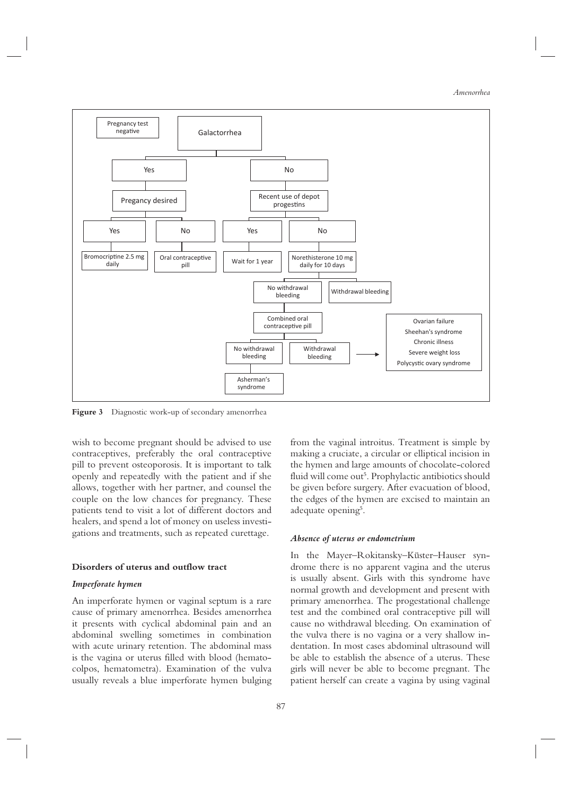*Amenorrhea*



**Figure 3** Diagnostic work-up of secondary amenorrhea

wish to become pregnant should be advised to use contraceptives, preferably the oral contraceptive pill to prevent osteoporosis. It is important to talk openly and repeatedly with the patient and if she allows, together with her partner, and counsel the couple on the low chances for pregnancy. These patients tend to visit a lot of different doctors and healers, and spend a lot of money on useless investigations and treatments, such as repeated curettage.

# **Disorders of uterus and outflow tract**

# *Imperforate hymen*

An imperforate hymen or vaginal septum is a rare cause of primary amenorrhea. Besides amenorrhea it presents with cyclical abdominal pain and an abdominal swelling sometimes in combination with acute urinary retention. The abdominal mass is the vagina or uterus filled with blood (hematocolpos, hematometra). Examination of the vulva usually reveals a blue imperforate hymen bulging from the vaginal introitus. Treatment is simple by making a cruciate, a circular or elliptical incision in the hymen and large amounts of chocolate-colored fluid will come out<sup>5</sup>. Prophylactic antibiotics should be given before surgery. After evacuation of blood, the edges of the hymen are excised to maintain an adequate opening<sup>5</sup>.

#### *Absence of uterus or endometrium*

In the Mayer–Rokitansky–Küster–Hauser syndrome there is no apparent vagina and the uterus is usually absent. Girls with this syndrome have normal growth and development and present with primary amenorrhea. The progestational challenge test and the combined oral contraceptive pill will cause no withdrawal bleeding. On examination of the vulva there is no vagina or a very shallow indentation. In most cases abdominal ultrasound will be able to establish the absence of a uterus. These girls will never be able to become pregnant. The patient herself can create a vagina by using vaginal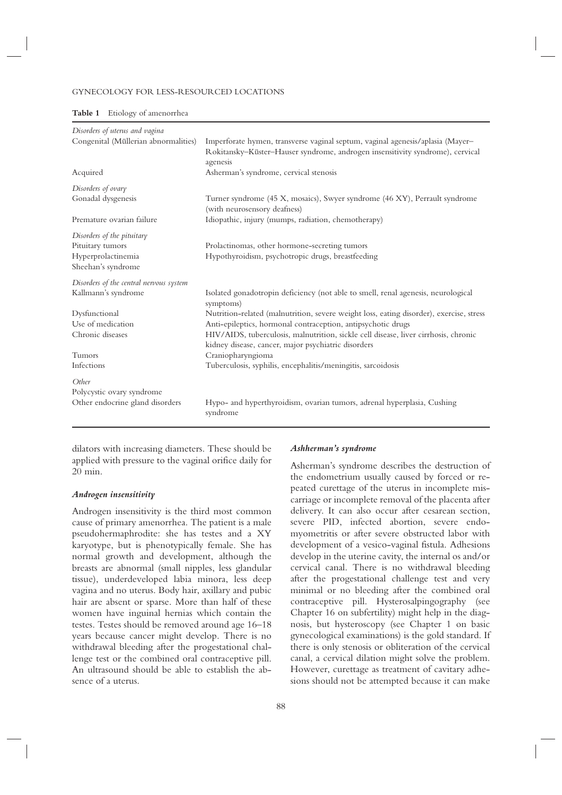#### GYNECOLOGY FOR LESS-RESOURCED LOCATIONS

| Table 1 | Etiology of amenorrhea |  |  |
|---------|------------------------|--|--|
|---------|------------------------|--|--|

| Disorders of uterus and vagina          |                                                                                                                                                                 |
|-----------------------------------------|-----------------------------------------------------------------------------------------------------------------------------------------------------------------|
| Congenital (Müllerian abnormalities)    | Imperforate hymen, transverse vaginal septum, vaginal agenesis/aplasia (Mayer-<br>Rokitansky-Küster-Hauser syndrome, androgen insensitivity syndrome), cervical |
|                                         | agenesis                                                                                                                                                        |
| Acquired                                | Asherman's syndrome, cervical stenosis                                                                                                                          |
| Disorders of ovary                      |                                                                                                                                                                 |
| Gonadal dysgenesis                      | Turner syndrome (45 X, mosaics), Swyer syndrome (46 XY), Perrault syndrome<br>(with neurosensory deafness)                                                      |
| Premature ovarian failure               | Idiopathic, injury (mumps, radiation, chemotherapy)                                                                                                             |
| Disorders of the pituitary              |                                                                                                                                                                 |
| Pituitary tumors                        | Prolactinomas, other hormone-secreting tumors                                                                                                                   |
| Hyperprolactinemia                      | Hypothyroidism, psychotropic drugs, breastfeeding                                                                                                               |
| Sheehan's syndrome                      |                                                                                                                                                                 |
| Disorders of the central nervous system |                                                                                                                                                                 |
| Kallmann's syndrome                     | Isolated gonadotropin deficiency (not able to smell, renal agenesis, neurological<br>symptoms)                                                                  |
| Dysfunctional                           | Nutrition-related (malnutrition, severe weight loss, eating disorder), exercise, stress                                                                         |
| Use of medication                       | Anti-epileptics, hormonal contraception, antipsychotic drugs                                                                                                    |
| Chronic diseases                        | HIV/AIDS, tuberculosis, malnutrition, sickle cell disease, liver cirrhosis, chronic<br>kidney disease, cancer, major psychiatric disorders                      |
| Tumors                                  | Craniopharyngioma                                                                                                                                               |
| Infections                              | Tuberculosis, syphilis, encephalitis/meningitis, sarcoidosis                                                                                                    |
| Other                                   |                                                                                                                                                                 |
| Polycystic ovary syndrome               |                                                                                                                                                                 |
| Other endocrine gland disorders         | Hypo- and hyperthyroidism, ovarian tumors, adrenal hyperplasia, Cushing<br>syndrome                                                                             |

dilators with increasing diameters. These should be applied with pressure to the vaginal orifice daily for 20 min.

#### *Androgen insensitivity*

Androgen insensitivity is the third most common cause of primary amenorrhea. The patient is a male pseudohermaphrodite: she has testes and a XY karyotype, but is phenotypically female. She has normal growth and development, although the breasts are abnormal (small nipples, less glandular tissue), underdeveloped labia minora, less deep vagina and no uterus. Body hair, axillary and pubic hair are absent or sparse. More than half of these women have inguinal hernias which contain the testes. Testes should be removed around age 16–18 years because cancer might develop. There is no withdrawal bleeding after the progestational challenge test or the combined oral contraceptive pill. An ultrasound should be able to establish the absence of a uterus.

# *Ashherman's syndrome*

Asherman's syndrome describes the destruction of the endometrium usually caused by forced or repeated curettage of the uterus in incomplete miscarriage or incomplete removal of the placenta after delivery. It can also occur after cesarean section, severe PID, infected abortion, severe endomyometritis or after severe obstructed labor with development of a vesico-vaginal fistula. Adhesions develop in the uterine cavity, the internal os and/or cervical canal. There is no withdrawal bleeding after the progestational challenge test and very minimal or no bleeding after the combined oral contraceptive pill. Hysterosalpingography (see Chapter 16 on subfertility) might help in the diagnosis, but hysteroscopy (see Chapter 1 on basic gynecological examinations) is the gold standard. If there is only stenosis or obliteration of the cervical canal, a cervical dilation might solve the problem. However, curettage as treatment of cavitary adhesions should not be attempted because it can make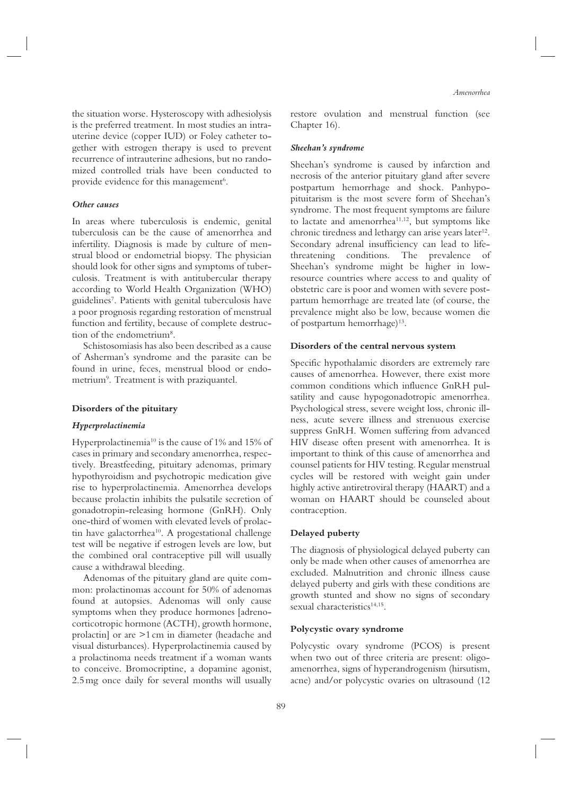the situation worse. Hysteroscopy with adhesiolysis is the preferred treatment. In most studies an intrauterine device (copper IUD) or Foley catheter together with estrogen therapy is used to prevent recurrence of intrauterine adhesions, but no randomized controlled trials have been conducted to provide evidence for this management<sup>6</sup>.

# *Other causes*

In areas where tuberculosis is endemic, genital tuberculosis can be the cause of amenorrhea and infertility. Diagnosis is made by culture of menstrual blood or endometrial biopsy. The physician should look for other signs and symptoms of tuberculosis. Treatment is with antitubercular therapy according to World Health Organization (WHO) guidelines7 . Patients with genital tuberculosis have a poor prognosis regarding restoration of menstrual function and fertility, because of complete destruction of the endometrium<sup>8</sup>.

Schistosomiasis has also been described as a cause of Asherman's syndrome and the parasite can be found in urine, feces, menstrual blood or endometrium<sup>9</sup>. Treatment is with praziquantel.

# **Disorders of the pituitary**

#### *Hyperprolactinemia*

Hyperprolactinemia<sup>10</sup> is the cause of 1% and 15% of cases in primary and secondary amenorrhea, respectively. Breastfeeding, pituitary adenomas, primary hypothyroidism and psychotropic medication give rise to hyperprolactinemia. Amenorrhea develops because prolactin inhibits the pulsatile secretion of gonadotropin-releasing hormone (GnRH). Only one-third of women with elevated levels of prolactin have galactorrhea<sup>10</sup>. A progestational challenge test will be negative if estrogen levels are low, but the combined oral contraceptive pill will usually cause a withdrawal bleeding.

Adenomas of the pituitary gland are quite common: prolactinomas account for 50% of adenomas found at autopsies. Adenomas will only cause symptoms when they produce hormones [adrenocorticotropic hormone (ACTH), growth hormone, prolactin] or are >1 cm in diameter (headache and visual disturbances). Hyperprolactinemia caused by a prolactinoma needs treatment if a woman wants to conceive. Bromocriptine, a dopamine agonist, 2.5 mg once daily for several months will usually *Amenorrhea*

restore ovulation and menstrual function (see Chapter 16).

#### *Sheehan's syndrome*

Sheehan's syndrome is caused by infarction and necrosis of the anterior pituitary gland after severe postpartum hemorrhage and shock. Panhypopituitarism is the most severe form of Sheehan's syndrome. The most frequent symptoms are failure to lactate and amenorrhea $11,12$ , but symptoms like chronic tiredness and lethargy can arise years later<sup>12</sup>. Secondary adrenal insufficiency can lead to lifethreatening conditions. The prevalence of Sheehan's syndrome might be higher in lowresource countries where access to and quality of obstetric care is poor and women with severe postpartum hemorrhage are treated late (of course, the prevalence might also be low, because women die of postpartum hemorrhage)<sup>13</sup>.

#### **Disorders of the central nervous system**

Specific hypothalamic disorders are extremely rare causes of amenorrhea. However, there exist more common conditions which influence GnRH pulsatility and cause hypogonadotropic amenorrhea. Psychological stress, severe weight loss, chronic illness, acute severe illness and strenuous exercise suppress GnRH. Women suffering from advanced HIV disease often present with amenorrhea. It is important to think of this cause of amenorrhea and counsel patients for HIV testing. Regular menstrual cycles will be restored with weight gain under highly active antiretroviral therapy (HAART) and a woman on HAART should be counseled about contraception.

# **Delayed puberty**

The diagnosis of physiological delayed puberty can only be made when other causes of amenorrhea are excluded. Malnutrition and chronic illness cause delayed puberty and girls with these conditions are growth stunted and show no signs of secondary sexual characteristics<sup>14,15</sup>.

# **Polycystic ovary syndrome**

Polycystic ovary syndrome (PCOS) is present when two out of three criteria are present: oligoamenorrhea, signs of hyperandrogenism (hirsutism, acne) and/or polycystic ovaries on ultrasound (12